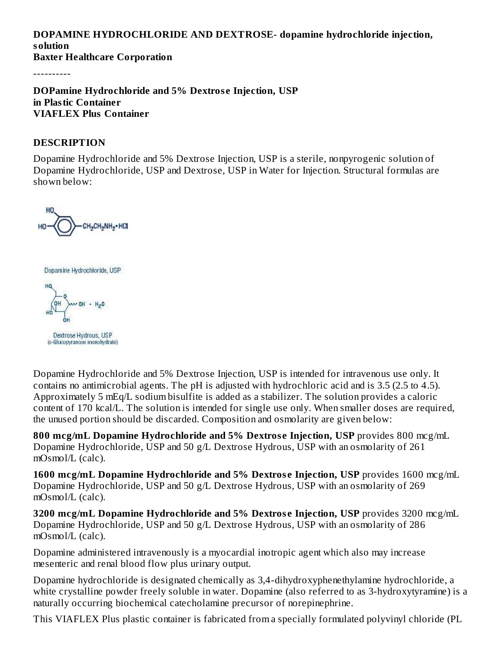#### **DOPAMINE HYDROCHLORIDE AND DEXTROSE- dopamine hydrochloride injection, solution Baxter Healthcare Corporation**

----------

**DOPamine Hydrochloride and 5% Dextros e Injection, USP in Plastic Container VIAFLEX Plus Container**

#### **DESCRIPTION**

Dopamine Hydrochloride and 5% Dextrose Injection, USP is a sterile, nonpyrogenic solution of Dopamine Hydrochloride, USP and Dextrose, USP in Water for Injection. Structural formulas are shown below:



Dopamine Hydrochloride, USP



Dextrose Hydrous, USP (a-Glucopyranose monohydrate)

Dopamine Hydrochloride and 5% Dextrose Injection, USP is intended for intravenous use only. It contains no antimicrobial agents. The pH is adjusted with hydrochloric acid and is 3.5 (2.5 to 4.5). Approximately 5 mEq/L sodium bisulfite is added as a stabilizer. The solution provides a caloric content of 170 kcal/L. The solution is intended for single use only. When smaller doses are required, the unused portion should be discarded. Composition and osmolarity are given below:

**800 mcg/mL Dopamine Hydrochloride and 5% Dextros e Injection, USP** provides 800 mcg/mL Dopamine Hydrochloride, USP and 50 g/L Dextrose Hydrous, USP with an osmolarity of 261 mOsmol/L (calc).

**1600 mcg/mL Dopamine Hydrochloride and 5% Dextros e Injection, USP** provides 1600 mcg/mL Dopamine Hydrochloride, USP and 50 g/L Dextrose Hydrous, USP with an osmolarity of 269 mOsmol/L (calc).

**3200 mcg/mL Dopamine Hydrochloride and 5% Dextros e Injection, USP** provides 3200 mcg/mL Dopamine Hydrochloride, USP and 50 g/L Dextrose Hydrous, USP with an osmolarity of 286 mOsmol/L (calc).

Dopamine administered intravenously is a myocardial inotropic agent which also may increase mesenteric and renal blood flow plus urinary output.

Dopamine hydrochloride is designated chemically as 3,4-dihydroxyphenethylamine hydrochloride, a white crystalline powder freely soluble in water. Dopamine (also referred to as 3-hydroxytyramine) is a naturally occurring biochemical catecholamine precursor of norepinephrine.

This VIAFLEX Plus plastic container is fabricated from a specially formulated polyvinyl chloride (PL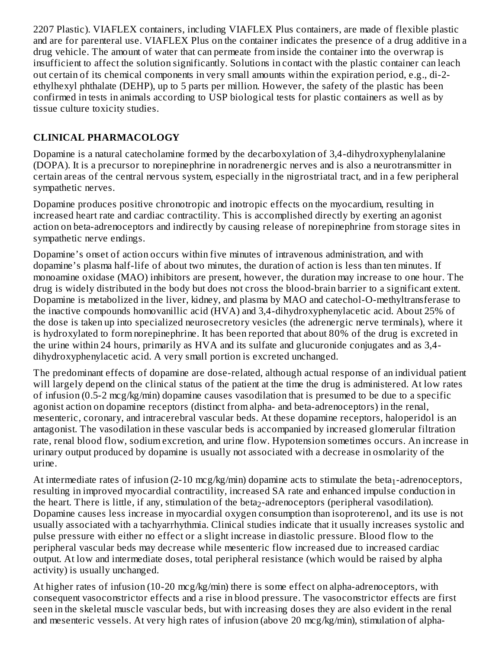2207 Plastic). VIAFLEX containers, including VIAFLEX Plus containers, are made of flexible plastic and are for parenteral use. VIAFLEX Plus on the container indicates the presence of a drug additive in a drug vehicle. The amount of water that can permeate from inside the container into the overwrap is insufficient to affect the solution significantly. Solutions in contact with the plastic container can leach out certain of its chemical components in very small amounts within the expiration period, e.g., di-2 ethylhexyl phthalate (DEHP), up to 5 parts per million. However, the safety of the plastic has been confirmed in tests in animals according to USP biological tests for plastic containers as well as by tissue culture toxicity studies.

# **CLINICAL PHARMACOLOGY**

Dopamine is a natural catecholamine formed by the decarboxylation of 3,4-dihydroxyphenylalanine (DOPA). It is a precursor to norepinephrine in noradrenergic nerves and is also a neurotransmitter in certain areas of the central nervous system, especially in the nigrostriatal tract, and in a few peripheral sympathetic nerves.

Dopamine produces positive chronotropic and inotropic effects on the myocardium, resulting in increased heart rate and cardiac contractility. This is accomplished directly by exerting an agonist action on beta-adrenoceptors and indirectly by causing release of norepinephrine from storage sites in sympathetic nerve endings.

Dopamine's onset of action occurs within five minutes of intravenous administration, and with dopamine's plasma half-life of about two minutes, the duration of action is less than ten minutes. If monoamine oxidase (MAO) inhibitors are present, however, the duration may increase to one hour. The drug is widely distributed in the body but does not cross the blood-brain barrier to a significant extent. Dopamine is metabolized in the liver, kidney, and plasma by MAO and catechol-O-methyltransferase to the inactive compounds homovanillic acid (HVA) and 3,4-dihydroxyphenylacetic acid. About 25% of the dose is taken up into specialized neurosecretory vesicles (the adrenergic nerve terminals), where it is hydroxylated to form norepinephrine. It has been reported that about 80% of the drug is excreted in the urine within 24 hours, primarily as HVA and its sulfate and glucuronide conjugates and as 3,4 dihydroxyphenylacetic acid. A very small portion is excreted unchanged.

The predominant effects of dopamine are dose-related, although actual response of an individual patient will largely depend on the clinical status of the patient at the time the drug is administered. At low rates of infusion (0.5-2 mcg/kg/min) dopamine causes vasodilation that is presumed to be due to a specific agonist action on dopamine receptors (distinct from alpha- and beta-adrenoceptors) in the renal, mesenteric, coronary, and intracerebral vascular beds. At these dopamine receptors, haloperidol is an antagonist. The vasodilation in these vascular beds is accompanied by increased glomerular filtration rate, renal blood flow, sodium excretion, and urine flow. Hypotension sometimes occurs. An increase in urinary output produced by dopamine is usually not associated with a decrease in osmolarity of the urine.

At intermediate rates of infusion (2-10 mcg/kg/min) dopamine acts to stimulate the beta<sub>1</sub>-adrenoceptors, resulting in improved myocardial contractility, increased SA rate and enhanced impulse conduction in the heart. There is little, if any, stimulation of the beta<sub>2</sub>-adrenoceptors (peripheral vasodilation). Dopamine causes less increase in myocardial oxygen consumption than isoproterenol, and its use is not usually associated with a tachyarrhythmia. Clinical studies indicate that it usually increases systolic and pulse pressure with either no effect or a slight increase in diastolic pressure. Blood flow to the peripheral vascular beds may decrease while mesenteric flow increased due to increased cardiac output. At low and intermediate doses, total peripheral resistance (which would be raised by alpha activity) is usually unchanged.

At higher rates of infusion (10-20 mcg/kg/min) there is some effect on alpha-adrenoceptors, with consequent vasoconstrictor effects and a rise in blood pressure. The vasoconstrictor effects are first seen in the skeletal muscle vascular beds, but with increasing doses they are also evident in the renal and mesenteric vessels. At very high rates of infusion (above 20 mcg/kg/min), stimulation of alpha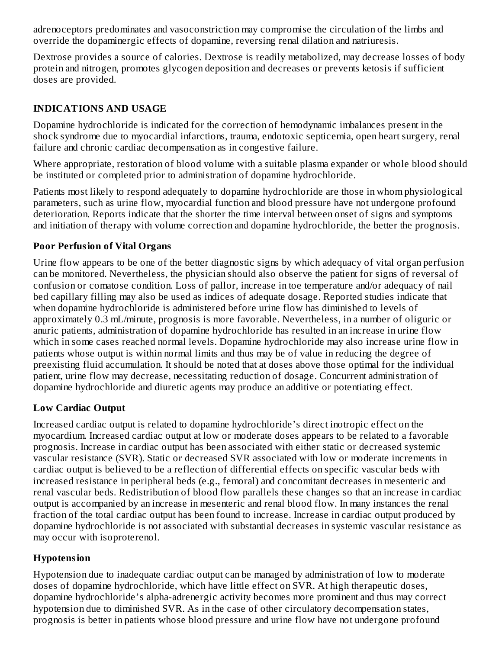adrenoceptors predominates and vasoconstriction may compromise the circulation of the limbs and override the dopaminergic effects of dopamine, reversing renal dilation and natriuresis.

Dextrose provides a source of calories. Dextrose is readily metabolized, may decrease losses of body protein and nitrogen, promotes glycogen deposition and decreases or prevents ketosis if sufficient doses are provided.

# **INDICATIONS AND USAGE**

Dopamine hydrochloride is indicated for the correction of hemodynamic imbalances present in the shock syndrome due to myocardial infarctions, trauma, endotoxic septicemia, open heart surgery, renal failure and chronic cardiac decompensation as in congestive failure.

Where appropriate, restoration of blood volume with a suitable plasma expander or whole blood should be instituted or completed prior to administration of dopamine hydrochloride.

Patients most likely to respond adequately to dopamine hydrochloride are those in whom physiological parameters, such as urine flow, myocardial function and blood pressure have not undergone profound deterioration. Reports indicate that the shorter the time interval between onset of signs and symptoms and initiation of therapy with volume correction and dopamine hydrochloride, the better the prognosis.

## **Poor Perfusion of Vital Organs**

Urine flow appears to be one of the better diagnostic signs by which adequacy of vital organ perfusion can be monitored. Nevertheless, the physician should also observe the patient for signs of reversal of confusion or comatose condition. Loss of pallor, increase in toe temperature and/or adequacy of nail bed capillary filling may also be used as indices of adequate dosage. Reported studies indicate that when dopamine hydrochloride is administered before urine flow has diminished to levels of approximately 0.3 mL/minute, prognosis is more favorable. Nevertheless, in a number of oliguric or anuric patients, administration of dopamine hydrochloride has resulted in an increase in urine flow which in some cases reached normal levels. Dopamine hydrochloride may also increase urine flow in patients whose output is within normal limits and thus may be of value in reducing the degree of preexisting fluid accumulation. It should be noted that at doses above those optimal for the individual patient, urine flow may decrease, necessitating reduction of dosage. Concurrent administration of dopamine hydrochloride and diuretic agents may produce an additive or potentiating effect.

## **Low Cardiac Output**

Increased cardiac output is related to dopamine hydrochloride's direct inotropic effect on the myocardium. Increased cardiac output at low or moderate doses appears to be related to a favorable prognosis. Increase in cardiac output has been associated with either static or decreased systemic vascular resistance (SVR). Static or decreased SVR associated with low or moderate increments in cardiac output is believed to be a reflection of differential effects on specific vascular beds with increased resistance in peripheral beds (e.g., femoral) and concomitant decreases in mesenteric and renal vascular beds. Redistribution of blood flow parallels these changes so that an increase in cardiac output is accompanied by an increase in mesenteric and renal blood flow. In many instances the renal fraction of the total cardiac output has been found to increase. Increase in cardiac output produced by dopamine hydrochloride is not associated with substantial decreases in systemic vascular resistance as may occur with isoproterenol.

## **Hypotension**

Hypotension due to inadequate cardiac output can be managed by administration of low to moderate doses of dopamine hydrochloride, which have little effect on SVR. At high therapeutic doses, dopamine hydrochloride's alpha-adrenergic activity becomes more prominent and thus may correct hypotension due to diminished SVR. As in the case of other circulatory decompensation states, prognosis is better in patients whose blood pressure and urine flow have not undergone profound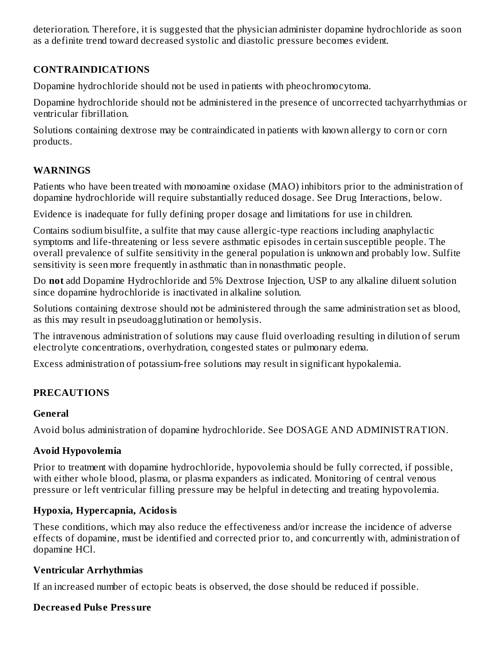deterioration. Therefore, it is suggested that the physician administer dopamine hydrochloride as soon as a definite trend toward decreased systolic and diastolic pressure becomes evident.

# **CONTRAINDICATIONS**

Dopamine hydrochloride should not be used in patients with pheochromocytoma.

Dopamine hydrochloride should not be administered in the presence of uncorrected tachyarrhythmias or ventricular fibrillation.

Solutions containing dextrose may be contraindicated in patients with known allergy to corn or corn products.

## **WARNINGS**

Patients who have been treated with monoamine oxidase (MAO) inhibitors prior to the administration of dopamine hydrochloride will require substantially reduced dosage. See Drug Interactions, below.

Evidence is inadequate for fully defining proper dosage and limitations for use in children.

Contains sodium bisulfite, a sulfite that may cause allergic-type reactions including anaphylactic symptoms and life-threatening or less severe asthmatic episodes in certain susceptible people. The overall prevalence of sulfite sensitivity in the general population is unknown and probably low. Sulfite sensitivity is seen more frequently in asthmatic than in nonasthmatic people.

Do **not** add Dopamine Hydrochloride and 5% Dextrose Injection, USP to any alkaline diluent solution since dopamine hydrochloride is inactivated in alkaline solution.

Solutions containing dextrose should not be administered through the same administration set as blood, as this may result in pseudoagglutination or hemolysis.

The intravenous administration of solutions may cause fluid overloading resulting in dilution of serum electrolyte concentrations, overhydration, congested states or pulmonary edema.

Excess administration of potassium-free solutions may result in significant hypokalemia.

## **PRECAUTIONS**

#### **General**

Avoid bolus administration of dopamine hydrochloride. See DOSAGE AND ADMINISTRATION.

## **Avoid Hypovolemia**

Prior to treatment with dopamine hydrochloride, hypovolemia should be fully corrected, if possible, with either whole blood, plasma, or plasma expanders as indicated. Monitoring of central venous pressure or left ventricular filling pressure may be helpful in detecting and treating hypovolemia.

## **Hypoxia, Hypercapnia, Acidosis**

These conditions, which may also reduce the effectiveness and/or increase the incidence of adverse effects of dopamine, must be identified and corrected prior to, and concurrently with, administration of dopamine HCl.

## **Ventricular Arrhythmias**

If an increased number of ectopic beats is observed, the dose should be reduced if possible.

## **Decreas ed Puls e Pressure**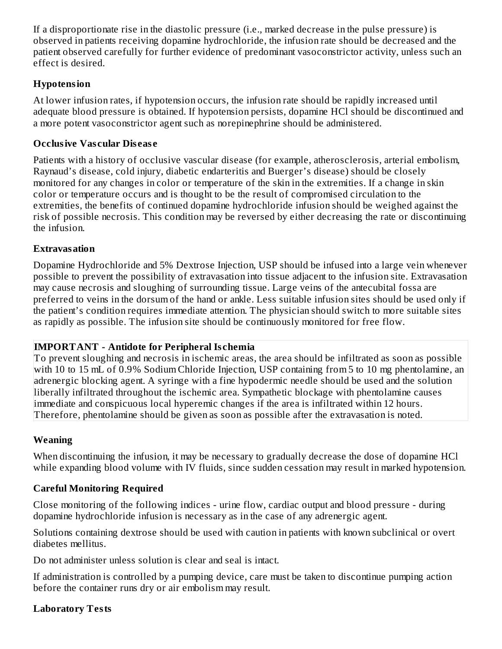If a disproportionate rise in the diastolic pressure (i.e., marked decrease in the pulse pressure) is observed in patients receiving dopamine hydrochloride, the infusion rate should be decreased and the patient observed carefully for further evidence of predominant vasoconstrictor activity, unless such an effect is desired.

# **Hypotension**

At lower infusion rates, if hypotension occurs, the infusion rate should be rapidly increased until adequate blood pressure is obtained. If hypotension persists, dopamine HCl should be discontinued and a more potent vasoconstrictor agent such as norepinephrine should be administered.

# **Occlusive Vas cular Dis eas e**

Patients with a history of occlusive vascular disease (for example, atherosclerosis, arterial embolism, Raynaud's disease, cold injury, diabetic endarteritis and Buerger's disease) should be closely monitored for any changes in color or temperature of the skin in the extremities. If a change in skin color or temperature occurs and is thought to be the result of compromised circulation to the extremities, the benefits of continued dopamine hydrochloride infusion should be weighed against the risk of possible necrosis. This condition may be reversed by either decreasing the rate or discontinuing the infusion.

# **Extravasation**

Dopamine Hydrochloride and 5% Dextrose Injection, USP should be infused into a large vein whenever possible to prevent the possibility of extravasation into tissue adjacent to the infusion site. Extravasation may cause necrosis and sloughing of surrounding tissue. Large veins of the antecubital fossa are preferred to veins in the dorsum of the hand or ankle. Less suitable infusion sites should be used only if the patient's condition requires immediate attention. The physician should switch to more suitable sites as rapidly as possible. The infusion site should be continuously monitored for free flow.

# **IMPORTANT - Antidote for Peripheral Is chemia**

To prevent sloughing and necrosis in ischemic areas, the area should be infiltrated as soon as possible with 10 to 15 mL of 0.9% Sodium Chloride Injection, USP containing from 5 to 10 mg phentolamine, an adrenergic blocking agent. A syringe with a fine hypodermic needle should be used and the solution liberally infiltrated throughout the ischemic area. Sympathetic blockage with phentolamine causes immediate and conspicuous local hyperemic changes if the area is infiltrated within 12 hours. Therefore, phentolamine should be given as soon as possible after the extravasation is noted.

# **Weaning**

When discontinuing the infusion, it may be necessary to gradually decrease the dose of dopamine HCl while expanding blood volume with IV fluids, since sudden cessation may result in marked hypotension.

# **Careful Monitoring Required**

Close monitoring of the following indices - urine flow, cardiac output and blood pressure - during dopamine hydrochloride infusion is necessary as in the case of any adrenergic agent.

Solutions containing dextrose should be used with caution in patients with known subclinical or overt diabetes mellitus.

Do not administer unless solution is clear and seal is intact.

If administration is controlled by a pumping device, care must be taken to discontinue pumping action before the container runs dry or air embolism may result.

# **Laboratory Tests**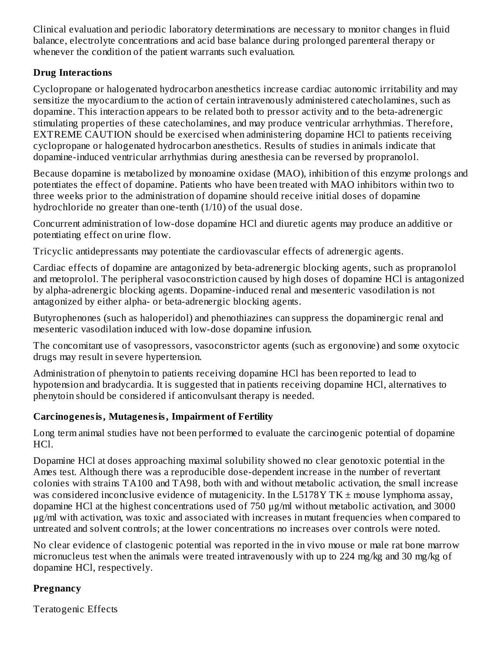Clinical evaluation and periodic laboratory determinations are necessary to monitor changes in fluid balance, electrolyte concentrations and acid base balance during prolonged parenteral therapy or whenever the condition of the patient warrants such evaluation.

# **Drug Interactions**

Cyclopropane or halogenated hydrocarbon anesthetics increase cardiac autonomic irritability and may sensitize the myocardium to the action of certain intravenously administered catecholamines, such as dopamine. This interaction appears to be related both to pressor activity and to the beta-adrenergic stimulating properties of these catecholamines, and may produce ventricular arrhythmias. Therefore, EXTREME CAUTION should be exercised when administering dopamine HCl to patients receiving cyclopropane or halogenated hydrocarbon anesthetics. Results of studies in animals indicate that dopamine-induced ventricular arrhythmias during anesthesia can be reversed by propranolol.

Because dopamine is metabolized by monoamine oxidase (MAO), inhibition of this enzyme prolongs and potentiates the effect of dopamine. Patients who have been treated with MAO inhibitors within two to three weeks prior to the administration of dopamine should receive initial doses of dopamine hydrochloride no greater than one-tenth (1/10) of the usual dose.

Concurrent administration of low-dose dopamine HCl and diuretic agents may produce an additive or potentiating effect on urine flow.

Tricyclic antidepressants may potentiate the cardiovascular effects of adrenergic agents.

Cardiac effects of dopamine are antagonized by beta-adrenergic blocking agents, such as propranolol and metoprolol. The peripheral vasoconstriction caused by high doses of dopamine HCl is antagonized by alpha-adrenergic blocking agents. Dopamine-induced renal and mesenteric vasodilation is not antagonized by either alpha- or beta-adrenergic blocking agents.

Butyrophenones (such as haloperidol) and phenothiazines can suppress the dopaminergic renal and mesenteric vasodilation induced with low-dose dopamine infusion.

The concomitant use of vasopressors, vasoconstrictor agents (such as ergonovine) and some oxytocic drugs may result in severe hypertension.

Administration of phenytoin to patients receiving dopamine HCl has been reported to lead to hypotension and bradycardia. It is suggested that in patients receiving dopamine HCl, alternatives to phenytoin should be considered if anticonvulsant therapy is needed.

# **Carcinogenesis, Mutagenesis, Impairment of Fertility**

Long term animal studies have not been performed to evaluate the carcinogenic potential of dopamine HCl.

Dopamine HCl at doses approaching maximal solubility showed no clear genotoxic potential in the Ames test. Although there was a reproducible dose-dependent increase in the number of revertant colonies with strains TA100 and TA98, both with and without metabolic activation, the small increase was considered inconclusive evidence of mutagenicity. In the  $L5178YTK \pm$  mouse lymphoma assay, dopamine HCl at the highest concentrations used of 750 μg/ml without metabolic activation, and 3000 μg/ml with activation, was toxic and associated with increases in mutant frequencies when compared to untreated and solvent controls; at the lower concentrations no increases over controls were noted.

No clear evidence of clastogenic potential was reported in the in vivo mouse or male rat bone marrow micronucleus test when the animals were treated intravenously with up to 224 mg/kg and 30 mg/kg of dopamine HCl, respectively.

# **Pregnancy**

Teratogenic Effects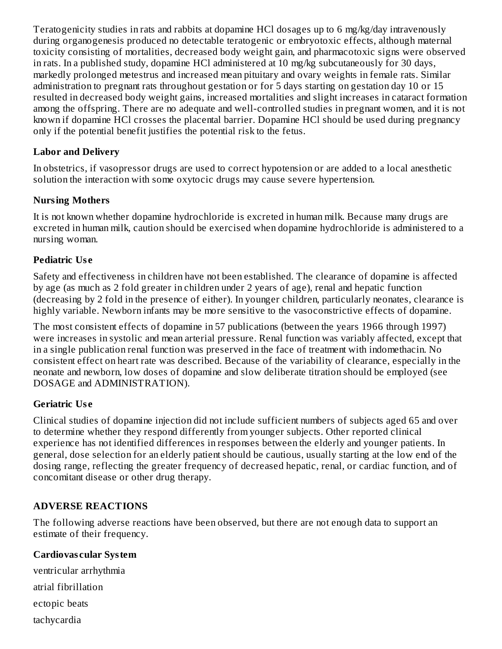Teratogenicity studies in rats and rabbits at dopamine HCl dosages up to 6 mg/kg/day intravenously during organogenesis produced no detectable teratogenic or embryotoxic effects, although maternal toxicity consisting of mortalities, decreased body weight gain, and pharmacotoxic signs were observed in rats. In a published study, dopamine HCl administered at 10 mg/kg subcutaneously for 30 days, markedly prolonged metestrus and increased mean pituitary and ovary weights in female rats. Similar administration to pregnant rats throughout gestation or for 5 days starting on gestation day 10 or 15 resulted in decreased body weight gains, increased mortalities and slight increases in cataract formation among the offspring. There are no adequate and well-controlled studies in pregnant women, and it is not known if dopamine HCl crosses the placental barrier. Dopamine HCl should be used during pregnancy only if the potential benefit justifies the potential risk to the fetus.

## **Labor and Delivery**

In obstetrics, if vasopressor drugs are used to correct hypotension or are added to a local anesthetic solution the interaction with some oxytocic drugs may cause severe hypertension.

# **Nursing Mothers**

It is not known whether dopamine hydrochloride is excreted in human milk. Because many drugs are excreted in human milk, caution should be exercised when dopamine hydrochloride is administered to a nursing woman.

# **Pediatric Us e**

Safety and effectiveness in children have not been established. The clearance of dopamine is affected by age (as much as 2 fold greater in children under 2 years of age), renal and hepatic function (decreasing by 2 fold in the presence of either). In younger children, particularly neonates, clearance is highly variable. Newborn infants may be more sensitive to the vasoconstrictive effects of dopamine.

The most consistent effects of dopamine in 57 publications (between the years 1966 through 1997) were increases in systolic and mean arterial pressure. Renal function was variably affected, except that in a single publication renal function was preserved in the face of treatment with indomethacin. No consistent effect on heart rate was described. Because of the variability of clearance, especially in the neonate and newborn, low doses of dopamine and slow deliberate titration should be employed (see DOSAGE and ADMINISTRATION).

## **Geriatric Us e**

Clinical studies of dopamine injection did not include sufficient numbers of subjects aged 65 and over to determine whether they respond differently from younger subjects. Other reported clinical experience has not identified differences in responses between the elderly and younger patients. In general, dose selection for an elderly patient should be cautious, usually starting at the low end of the dosing range, reflecting the greater frequency of decreased hepatic, renal, or cardiac function, and of concomitant disease or other drug therapy.

## **ADVERSE REACTIONS**

The following adverse reactions have been observed, but there are not enough data to support an estimate of their frequency.

## **Cardiovas cular System**

ventricular arrhythmia atrial fibrillation ectopic beats tachycardia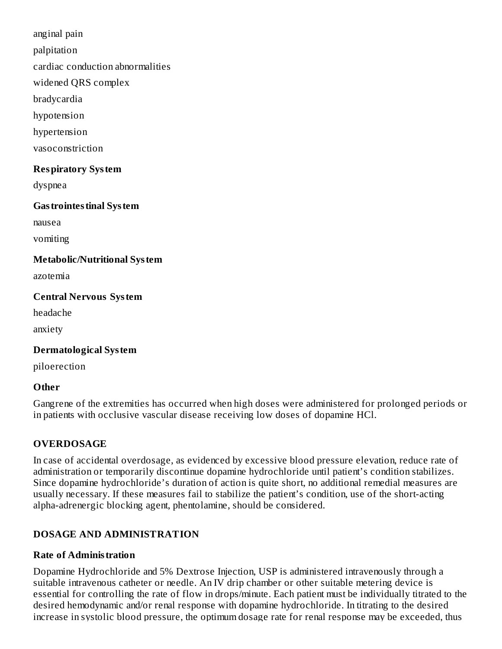anginal pain

palpitation

cardiac conduction abnormalities

widened QRS complex

bradycardia

hypotension

hypertension

vasoconstriction

## **Respiratory System**

dyspnea

**Gastrointestinal System**

nausea

vomiting

**Metabolic/Nutritional System**

azotemia

**Central Nervous System**

headache

anxiety

## **Dermatological System**

piloerection

## **Other**

Gangrene of the extremities has occurred when high doses were administered for prolonged periods or in patients with occlusive vascular disease receiving low doses of dopamine HCl.

# **OVERDOSAGE**

In case of accidental overdosage, as evidenced by excessive blood pressure elevation, reduce rate of administration or temporarily discontinue dopamine hydrochloride until patient's condition stabilizes. Since dopamine hydrochloride's duration of action is quite short, no additional remedial measures are usually necessary. If these measures fail to stabilize the patient's condition, use of the short-acting alpha-adrenergic blocking agent, phentolamine, should be considered.

# **DOSAGE AND ADMINISTRATION**

## **Rate of Administration**

Dopamine Hydrochloride and 5% Dextrose Injection, USP is administered intravenously through a suitable intravenous catheter or needle. An IV drip chamber or other suitable metering device is essential for controlling the rate of flow in drops/minute. Each patient must be individually titrated to the desired hemodynamic and/or renal response with dopamine hydrochloride. In titrating to the desired increase in systolic blood pressure, the optimum dosage rate for renal response may be exceeded, thus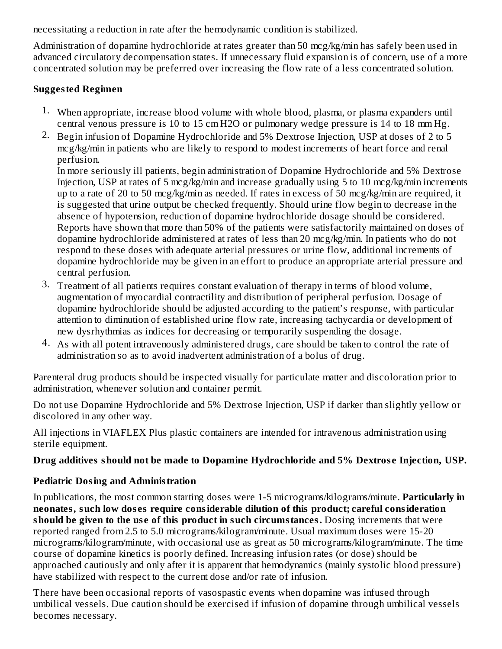necessitating a reduction in rate after the hemodynamic condition is stabilized.

Administration of dopamine hydrochloride at rates greater than 50 mcg/kg/min has safely been used in advanced circulatory decompensation states. If unnecessary fluid expansion is of concern, use of a more concentrated solution may be preferred over increasing the flow rate of a less concentrated solution.

# **Suggested Regimen**

- 1. When appropriate, increase blood volume with whole blood, plasma, or plasma expanders until central venous pressure is 10 to 15 cm H2O or pulmonary wedge pressure is 14 to 18 mm Hg.
- 2. Begin infusion of Dopamine Hydrochloride and 5% Dextrose Injection, USP at doses of 2 to 5 mcg/kg/min in patients who are likely to respond to modest increments of heart force and renal perfusion.

In more seriously ill patients, begin administration of Dopamine Hydrochloride and 5% Dextrose Injection, USP at rates of 5 mcg/kg/min and increase gradually using 5 to 10 mcg/kg/min increments up to a rate of 20 to 50 mcg/kg/min as needed. If rates in excess of 50 mcg/kg/min are required, it is suggested that urine output be checked frequently. Should urine flow begin to decrease in the absence of hypotension, reduction of dopamine hydrochloride dosage should be considered. Reports have shown that more than 50% of the patients were satisfactorily maintained on doses of dopamine hydrochloride administered at rates of less than 20 mcg/kg/min. In patients who do not respond to these doses with adequate arterial pressures or urine flow, additional increments of dopamine hydrochloride may be given in an effort to produce an appropriate arterial pressure and central perfusion.

- 3. Treatment of all patients requires constant evaluation of therapy in terms of blood volume, augmentation of myocardial contractility and distribution of peripheral perfusion. Dosage of dopamine hydrochloride should be adjusted according to the patient's response, with particular attention to diminution of established urine flow rate, increasing tachycardia or development of new dysrhythmias as indices for decreasing or temporarily suspending the dosage.
- 4. As with all potent intravenously administered drugs, care should be taken to control the rate of administration so as to avoid inadvertent administration of a bolus of drug.

Parenteral drug products should be inspected visually for particulate matter and discoloration prior to administration, whenever solution and container permit.

Do not use Dopamine Hydrochloride and 5% Dextrose Injection, USP if darker than slightly yellow or discolored in any other way.

All injections in VIAFLEX Plus plastic containers are intended for intravenous administration using sterile equipment.

# **Drug additives should not be made to Dopamine Hydrochloride and 5% Dextros e Injection, USP.**

# **Pediatric Dosing and Administration**

In publications, the most common starting doses were 1-5 micrograms/kilograms/minute. **Particularly in neonates, such low dos es require considerable dilution of this product; careful consideration should be given to the us e of this product in such circumstances.** Dosing increments that were reported ranged from 2.5 to 5.0 micrograms/kilogram/minute. Usual maximum doses were 15-20 micrograms/kilogram/minute, with occasional use as great as 50 micrograms/kilogram/minute. The time course of dopamine kinetics is poorly defined. Increasing infusion rates (or dose) should be approached cautiously and only after it is apparent that hemodynamics (mainly systolic blood pressure) have stabilized with respect to the current dose and/or rate of infusion.

There have been occasional reports of vasospastic events when dopamine was infused through umbilical vessels. Due caution should be exercised if infusion of dopamine through umbilical vessels becomes necessary.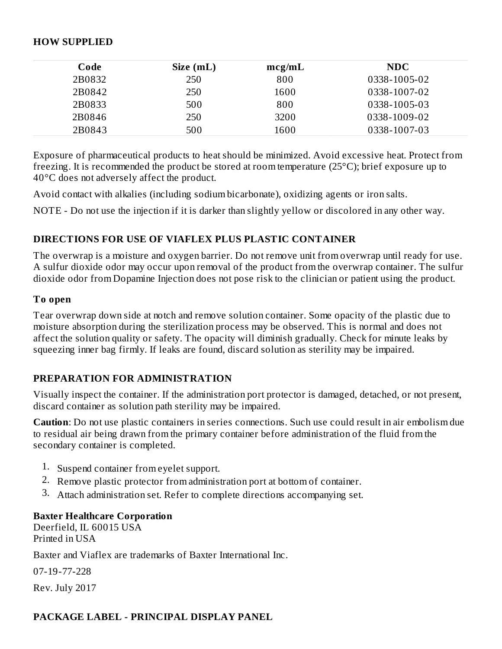#### **HOW SUPPLIED**

| Code   | Size (mL) | mcg/mL | NDC.         |  |
|--------|-----------|--------|--------------|--|
| 2B0832 | 250       | 800    | 0338-1005-02 |  |
| 2B0842 | 250       | 1600   | 0338-1007-02 |  |
| 2B0833 | 500       | 800    | 0338-1005-03 |  |
| 2B0846 | 250       | 3200   | 0338-1009-02 |  |
| 2B0843 | 500       | 1600   | 0338-1007-03 |  |
|        |           |        |              |  |

Exposure of pharmaceutical products to heat should be minimized. Avoid excessive heat. Protect from freezing. It is recommended the product be stored at room temperature (25°C); brief exposure up to 40°C does not adversely affect the product.

Avoid contact with alkalies (including sodium bicarbonate), oxidizing agents or iron salts.

NOTE - Do not use the injection if it is darker than slightly yellow or discolored in any other way.

#### **DIRECTIONS FOR USE OF VIAFLEX PLUS PLASTIC CONTAINER**

The overwrap is a moisture and oxygen barrier. Do not remove unit from overwrap until ready for use. A sulfur dioxide odor may occur upon removal of the product from the overwrap container. The sulfur dioxide odor from Dopamine Injection does not pose risk to the clinician or patient using the product.

#### **To open**

Tear overwrap down side at notch and remove solution container. Some opacity of the plastic due to moisture absorption during the sterilization process may be observed. This is normal and does not affect the solution quality or safety. The opacity will diminish gradually. Check for minute leaks by squeezing inner bag firmly. If leaks are found, discard solution as sterility may be impaired.

## **PREPARATION FOR ADMINISTRATION**

Visually inspect the container. If the administration port protector is damaged, detached, or not present, discard container as solution path sterility may be impaired.

**Caution**: Do not use plastic containers in series connections. Such use could result in air embolism due to residual air being drawn from the primary container before administration of the fluid from the secondary container is completed.

- 1. Suspend container from eyelet support.
- 2. Remove plastic protector from administration port at bottom of container.
- 3. Attach administration set. Refer to complete directions accompanying set.

#### **Baxter Healthcare Corporation**

Deerfield, IL 60015 USA Printed in USA

Baxter and Viaflex are trademarks of Baxter International Inc.

07-19-77-228

Rev. July 2017

## **PACKAGE LABEL - PRINCIPAL DISPLAY PANEL**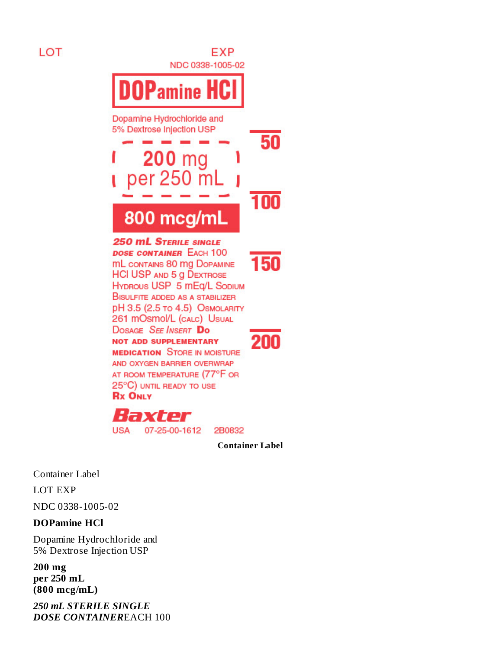EXP NDC 0338-1005-02 0Pamine H( Dopamine Hydrochloride and 5% Dextrose Injection USP 50  $200$  mg per 250 m 100 800 mcg/mL **250 mL STERILE SINGLE** DOSE CONTAINER EACH 100 150 **ML CONTAINS 80 Mg DOPAMINE HCI USP AND 5 G DEXTROSE HYDROUS USP 5 MEG/L SODIUM BISULFITE ADDED AS A STABILIZER** DH 3.5 (2.5 TO 4.5) OSMOLARITY 261 mOsmol/L (CALC) USUAL **DOSAGE SEE INSERT DO** 200 **NOT ADD SUPPLEMENTARY MEDICATION** STORE IN MOISTURE AND OXYGEN BARRIER OVERWRAP AT ROOM TEMPERATURE (77°F OR 25°C) UNTIL READY TO USE **Rx ONLY** 7) X 127 **USA** 07-25-00-1612 2B0832

**Container Label**

Container Label

LOT EXP

NDC 0338-1005-02

#### **DOPamine HCl**

Dopamine Hydrochloride and 5% Dextrose Injection USP

**200 mg per 250 mL (800 mcg/mL)**

*250 mL STERILE SINGLE DOSE CONTAINER*EACH 100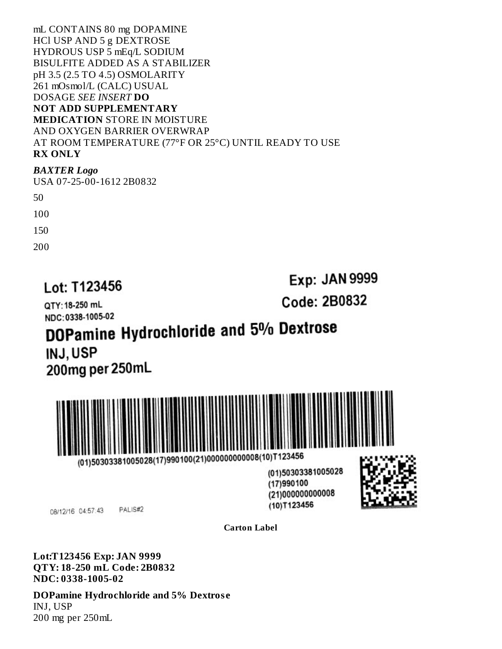mL CONTAINS 80 mg DOPAMINE HCl USP AND 5 g DEXTROSE HYDROUS USP 5 mEq/L SODIUM BISULFITE ADDED AS A STABILIZER pH 3.5 (2.5 TO 4.5) OSMOLARITY 261 mOsmol/L (CALC) USUAL DOSAGE *SEE INSERT* **DO NOT ADD SUPPLEMENTARY MEDICATION** STORE IN MOISTURE AND OXYGEN BARRIER OVERWRAP AT ROOM TEMPERATURE (77°F OR 25°C) UNTIL READY TO USE **RX ONLY**

#### *BAXTER Logo*

USA 07-25-00-1612 2B0832

| ٦<br>٠<br>۰.<br>$\sim$<br>. . |
|-------------------------------|
|                               |

100

150

200

Lot: T123456

Exp: JAN 9999

OTY: 18-250 mL NDC: 0338-1005-02 Code: 2B0832

DOPamine Hydrochloride and 5% Dextrose INJ, USP

200mg per 250mL



(01)50303381005028(17)990100(21)000000000008(10)T123456

(01)50303381005028 (17)990100 (21)000000000008 (10)T123456



08/12/16 04:57:43 PALIS#2

**Carton Label**

**Lot:T123456 Exp: JAN 9999 QTY: 18-250 mL Code: 2B0832 NDC: 0338-1005-02**

**DOPamine Hydrochloride and 5% Dextros e** INJ, USP 200 mg per 250mL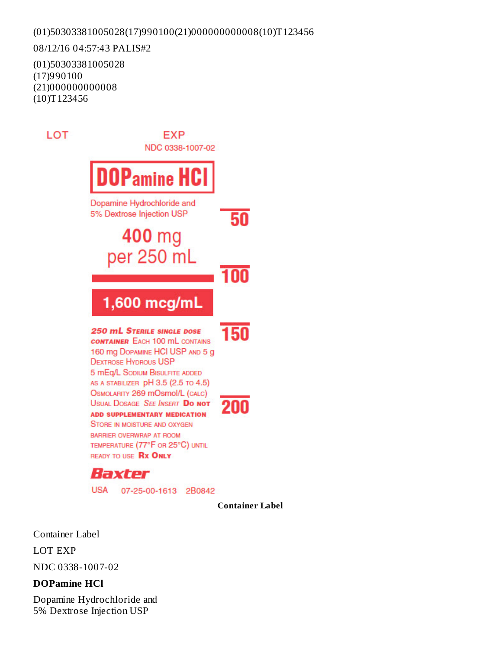## (01)50303381005028(17)990100(21)000000000008(10)T123456

08/12/16 04:57:43 PALIS#2

(01)50303381005028 (17)990100 (21)000000000008 (10)T123456



#### **Container Label**

Container Label LOT EXP NDC 0338-1007-02

# **DOPamine HCl**

Dopamine Hydrochloride and 5% Dextrose Injection USP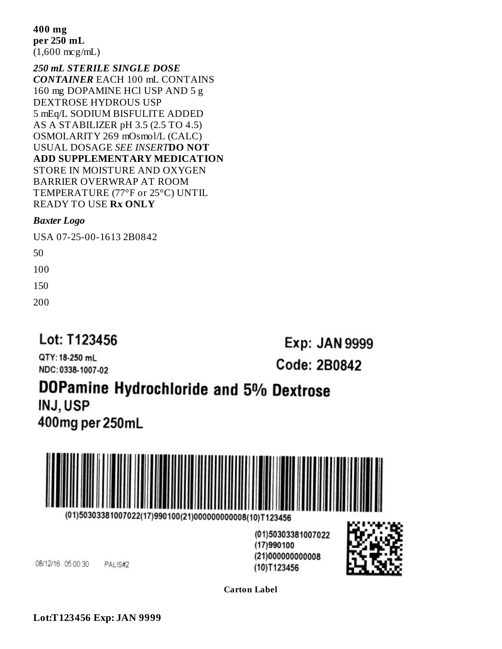**400 mg per 250 mL** (1,600 mcg/mL)

*250 mL STERILE SINGLE DOSE CONTAINER* EACH 100 mL CONTAINS 160 mg DOPAMINE HCl USP AND 5 g DEXTROSE HYDROUS USP 5 mEq/L SODIUM BISFULITE ADDED AS A STABILIZER pH 3.5 (2.5 TO 4.5) OSMOLARITY 269 mOsmol/L (CALC) USUAL DOSAGE *SEE INSERT***DO NOT ADD SUPPLEMENTARY MEDICATION** STORE IN MOISTURE AND OXYGEN BARRIER OVERWRAP AT ROOM TEMPERATURE (77°F or 25°C) UNTIL READY TO USE **Rx ONLY**

# *Baxter Logo*

USA 07-25-00-1613 2B0842

50

100

150

200

# Lot: T123456

Exp: JAN 9999

# QTY: 18-250 mL NDC: 0338-1007-02

Code: 2B0842

# DOPamine Hydrochloride and 5% Dextrose INJ, USP 400mg per 250mL



(01)50303381007022(17)990100(21)000000000008(10)T123456

08/12/16 05:00:30 PALIS#2

(01)50303381007022 (17)990100 (21)000000000008 (10)T123456



**Carton Label**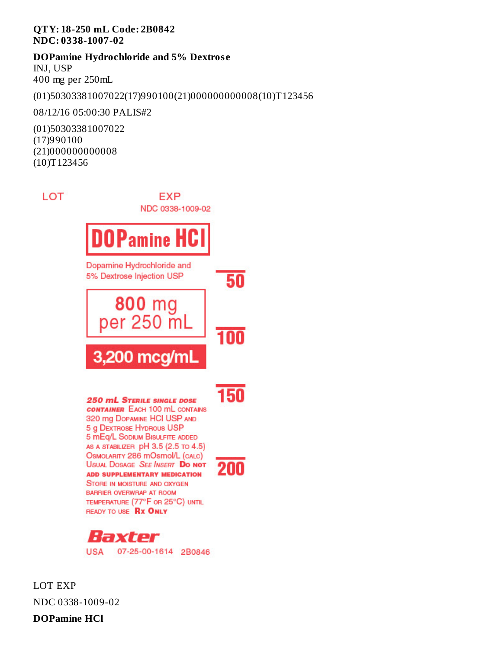**QTY: 18-250 mL Code: 2B0842 NDC: 0338-1007-02**

**DOPamine Hydrochloride and 5% Dextros e** INJ, USP 400 mg per 250mL

(01)50303381007022(17)990100(21)000000000008(10)T123456

08/12/16 05:00:30 PALIS#2

(01)50303381007022 (17)990100 (21)000000000008 (10)T123456



LOT EXP NDC 0338-1009-02

**DOPamine HCl**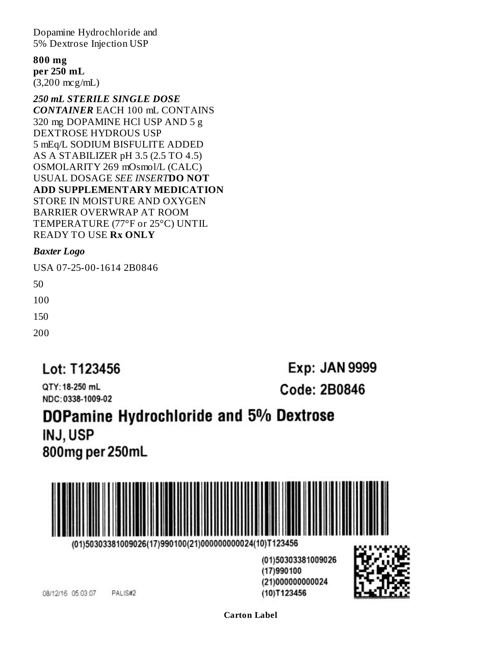Dopamine Hydrochloride and 5% Dextrose Injection USP

**800 mg per 250 mL** (3,200 mcg/mL)

#### *250 mL STERILE SINGLE DOSE CONTAINER* EACH 100 mL CONTAINS 320 mg DOPAMINE HCl USP AND 5 g DEXTROSE HYDROUS USP 5 mEq/L SODIUM BISFULITE ADDED AS A STABILIZER pH 3.5 (2.5 TO 4.5) OSMOLARITY 269 mOsmol/L (CALC) USUAL DOSAGE *SEE INSERT***DO NOT ADD SUPPLEMENTARY MEDICATION** STORE IN MOISTURE AND OXYGEN BARRIER OVERWRAP AT ROOM TEMPERATURE (77°F or 25°C) UNTIL READY TO USE **Rx ONLY**

# *Baxter Logo*

USA 07-25-00-1614 2B0846

| . .    |                  |
|--------|------------------|
| $\sim$ | ٠<br>÷<br>$\sim$ |

100

150

200

# Lot: T123456

Exp: JAN 9999

QTY: 18-250 mL NDC: 0338-1009-02

Code: 2B0846

# DOPamine Hydrochloride and 5% Dextrose INJ, USP

800mg per 250mL



(01)50303381009026(17)990100(21)000000000024(10)T123456

(01)50303381009026 (17)990100 (21)000000000024 (10)T123456



08/12/16 05:03:07 PALIS#2

**Carton Label**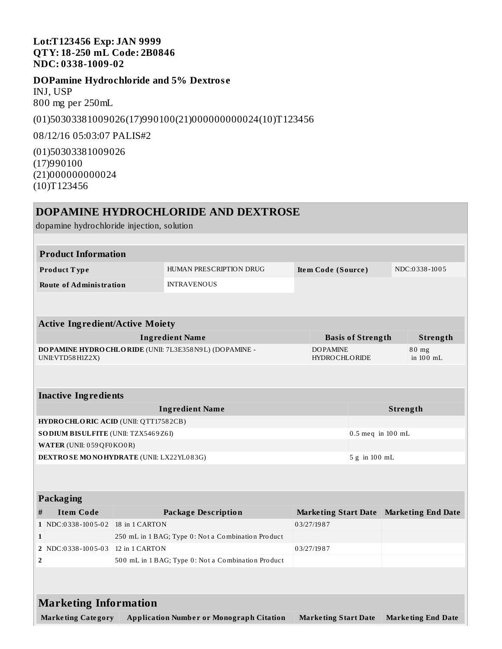#### **Lot:T123456 Exp: JAN 9999 QTY: 18-250 mL Code: 2B0846 NDC: 0338-1009-02**

## **DOPamine Hydrochloride and 5% Dextros e**

INJ, USP 800 mg per 250mL

## (01)50303381009026(17)990100(21)000000000024(10)T123456

08/12/16 05:03:07 PALIS#2

(01)50303381009026 (17)990100 (21)000000000024  $(10)$ T123456

|                                                                 |                                            |                | DOPAMINE HYDROCHLORIDE AND DEXTROSE                   |                       |                                         |                          |  |                           |
|-----------------------------------------------------------------|--------------------------------------------|----------------|-------------------------------------------------------|-----------------------|-----------------------------------------|--------------------------|--|---------------------------|
|                                                                 | dopamine hydrochloride injection, solution |                |                                                       |                       |                                         |                          |  |                           |
|                                                                 |                                            |                |                                                       |                       |                                         |                          |  |                           |
|                                                                 | <b>Product Information</b>                 |                |                                                       |                       |                                         |                          |  |                           |
|                                                                 | Product Type                               |                | HUMAN PRESCRIPTION DRUG                               |                       | Item Code (Source)                      |                          |  | NDC:0338-1005             |
|                                                                 | <b>Route of Administration</b>             |                | <b>INTRAVENOUS</b>                                    |                       |                                         |                          |  |                           |
|                                                                 |                                            |                |                                                       |                       |                                         |                          |  |                           |
|                                                                 | <b>Active Ingredient/Active Moiety</b>     |                |                                                       |                       |                                         |                          |  |                           |
|                                                                 |                                            |                | <b>Ingredient Name</b>                                |                       |                                         | <b>Basis of Strength</b> |  | Strength                  |
|                                                                 | UNII: VTD58 H1Z2X)                         |                | DOPAMINE HYDROCHLORIDE (UNII: 7L3E358N9L) (DOPAMINE - |                       | <b>DOPAMINE</b><br><b>HYDROCHLORIDE</b> |                          |  | 80 mg<br>in 100 mL        |
|                                                                 |                                            |                |                                                       |                       |                                         |                          |  |                           |
|                                                                 | <b>Inactive Ingredients</b>                |                |                                                       |                       |                                         |                          |  |                           |
|                                                                 |                                            |                | <b>Ingredient Name</b>                                |                       | Strength                                |                          |  |                           |
| HYDRO CHLORIC ACID (UNII: QTT17582CB)                           |                                            |                |                                                       |                       |                                         |                          |  |                           |
| SODIUM BISULFITE (UNII: TZX5469Z6I)                             |                                            |                |                                                       | $0.5$ meq in $100$ mL |                                         |                          |  |                           |
|                                                                 | WATER (UNII: 059 QF0 KO0 R)                |                |                                                       |                       |                                         |                          |  |                           |
| <b>DEXTROSE MONOHYDRATE (UNII: LX22YL083G)</b><br>5 g in 100 mL |                                            |                |                                                       |                       |                                         |                          |  |                           |
|                                                                 |                                            |                |                                                       |                       |                                         |                          |  |                           |
|                                                                 |                                            |                |                                                       |                       |                                         |                          |  |                           |
|                                                                 | Packaging                                  |                |                                                       |                       |                                         |                          |  |                           |
| #                                                               | <b>Item Code</b>                           |                | <b>Package Description</b>                            |                       | <b>Marketing Start Date</b>             |                          |  | <b>Marketing End Date</b> |
|                                                                 | 1 NDC:0338-1005-02 18 in 1 CARTON          |                |                                                       |                       | 03/27/1987                              |                          |  |                           |
| $\mathbf{1}$                                                    |                                            |                | 250 mL in 1 BAG; Type 0: Not a Combination Product    |                       |                                         |                          |  |                           |
|                                                                 | 2 NDC:0338-1005-03                         | 12 in 1 CARTON |                                                       | 03/27/1987            |                                         |                          |  |                           |
| $\overline{\mathbf{2}}$                                         |                                            |                | 500 mL in 1 BAG; Type 0: Not a Combination Product    |                       |                                         |                          |  |                           |
|                                                                 |                                            |                |                                                       |                       |                                         |                          |  |                           |
|                                                                 | <b>Marketing Information</b>               |                |                                                       |                       |                                         |                          |  |                           |
|                                                                 | <b>Marketing Category</b>                  |                | <b>Application Number or Monograph Citation</b>       |                       | <b>Marketing Start Date</b>             |                          |  | <b>Marketing End Date</b> |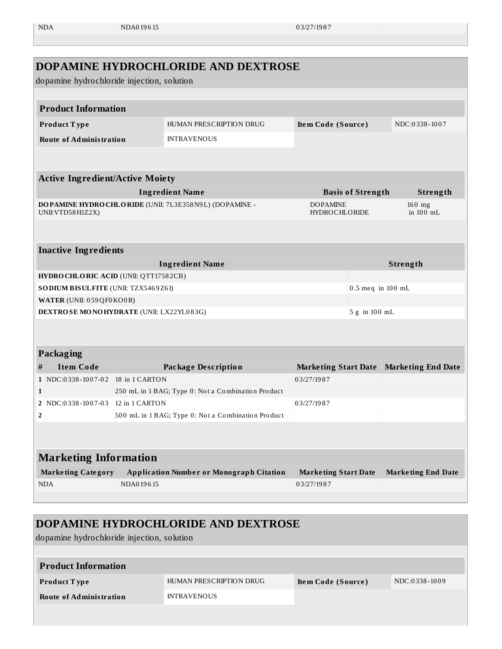| dopamine hydrochloride injection, solution |                              | DOPAMINE HYDROCHLORIDE AND DEXTROSE                   |                   |                                         |                          |          |                           |
|--------------------------------------------|------------------------------|-------------------------------------------------------|-------------------|-----------------------------------------|--------------------------|----------|---------------------------|
|                                            |                              |                                                       |                   |                                         |                          |          |                           |
| <b>Product Information</b>                 |                              |                                                       |                   |                                         |                          |          |                           |
| Product Type                               |                              | HUMAN PRESCRIPTION DRUG                               |                   | Item Code (Source)                      |                          |          | NDC:0338-1007             |
| <b>Route of Administration</b>             |                              | <b>INTRAVENOUS</b>                                    |                   |                                         |                          |          |                           |
|                                            |                              |                                                       |                   |                                         |                          |          |                           |
| <b>Active Ingredient/Active Moiety</b>     |                              |                                                       |                   |                                         |                          |          |                           |
|                                            |                              | <b>Ingredient Name</b>                                |                   |                                         | <b>Basis of Strength</b> |          | Strength                  |
| UNII: VTD58 H1Z2X)                         |                              | DOPAMINE HYDROCHLORIDE (UNII: 7L3E358N9L) (DOPAMINE - |                   | <b>DOPAMINE</b><br><b>HYDROCHLORIDE</b> |                          |          | $160$ mg<br>in $100$ mL   |
|                                            |                              |                                                       |                   |                                         |                          |          |                           |
| <b>Inactive Ingredients</b>                |                              |                                                       |                   |                                         |                          |          |                           |
|                                            |                              | <b>Ingredient Name</b>                                |                   |                                         |                          | Strength |                           |
| HYDRO CHLORIC ACID (UNII: QTT17582CB)      |                              |                                                       |                   |                                         |                          |          |                           |
| SODIUM BISULFITE (UNII: TZX5469Z6I)        |                              |                                                       | 0.5 meq in 100 mL |                                         |                          |          |                           |
| WATER (UNII: 059QF0KO0R)                   |                              |                                                       |                   |                                         |                          |          |                           |
| DEXTROSE MONOHYDRATE (UNII: LX22YL083G)    |                              |                                                       | 5 g in 100 mL     |                                         |                          |          |                           |
|                                            |                              |                                                       |                   |                                         |                          |          |                           |
| Packaging                                  |                              |                                                       |                   |                                         |                          |          |                           |
| <b>Item Code</b><br>#                      |                              | <b>Package Description</b>                            |                   | <b>Marketing Start Date</b>             |                          |          | <b>Marketing End Date</b> |
| 1 NDC:0338-1007-02                         | 18 in 1 CARTON               |                                                       |                   | 03/27/1987                              |                          |          |                           |
| $\mathbf{1}$                               |                              | 250 mL in 1 BAG; Type 0: Not a Combination Product    |                   |                                         |                          |          |                           |
| 2 NDC:0338-1007-03                         | 12 in 1 CARTON<br>03/27/1987 |                                                       |                   |                                         |                          |          |                           |
| 2                                          |                              | 500 mL in 1 BAG; Type 0: Not a Combination Product    |                   |                                         |                          |          |                           |
|                                            |                              |                                                       |                   |                                         |                          |          |                           |
| <b>Marketing Information</b>               |                              |                                                       |                   |                                         |                          |          |                           |
| <b>Marketing Category</b>                  |                              | <b>Application Number or Monograph Citation</b>       |                   | <b>Marketing Start Date</b>             |                          |          | <b>Marketing End Date</b> |
| <b>NDA</b>                                 | NDA019615                    |                                                       |                   | 03/27/1987                              |                          |          |                           |
|                                            |                              |                                                       |                   |                                         |                          |          |                           |

| DOPAMINE HYDROCHLORIDE AND DEXTROSE                  |                         |                    |               |  |  |  |
|------------------------------------------------------|-------------------------|--------------------|---------------|--|--|--|
| dopamine hydrochloride injection, solution           |                         |                    |               |  |  |  |
|                                                      |                         |                    |               |  |  |  |
| <b>Product Information</b>                           |                         |                    |               |  |  |  |
| <b>Product Type</b>                                  | HUMAN PRESCRIPTION DRUG | Item Code (Source) | NDC:0338-1009 |  |  |  |
| <b>Route of Administration</b><br><b>INTRAVENOUS</b> |                         |                    |               |  |  |  |
|                                                      |                         |                    |               |  |  |  |